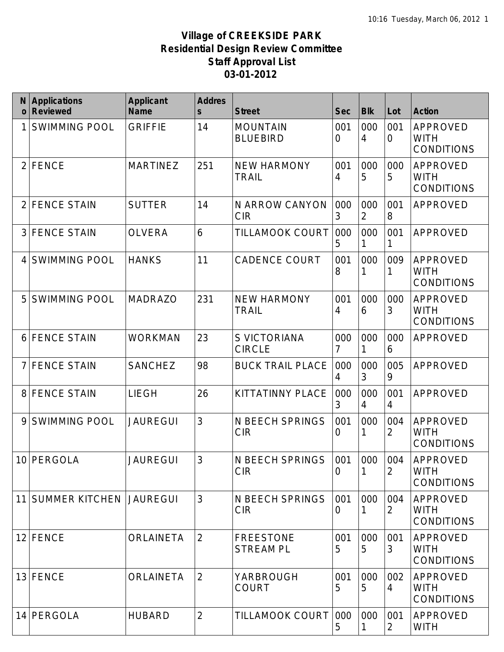| $\mathbf{O}$   | <b>Applications</b><br><b>Reviewed</b> | <b>Applicant</b><br><b>Name</b> | <b>Addres</b><br>$\mathsf{s}$ | <b>Street</b>                        | <b>Sec</b>            | <b>Blk</b>            | Lot                   | <b>Action</b>                                       |
|----------------|----------------------------------------|---------------------------------|-------------------------------|--------------------------------------|-----------------------|-----------------------|-----------------------|-----------------------------------------------------|
|                | <b>SWIMMING POOL</b>                   | <b>GRIFFIE</b>                  | 14                            | <b>MOUNTAIN</b><br><b>BLUEBIRD</b>   | 001<br>0              | 000<br>4              | 001<br>$\overline{0}$ | <b>APPROVED</b><br><b>WITH</b><br><b>CONDITIONS</b> |
| 2              | <b>FENCE</b>                           | <b>MARTINEZ</b>                 | 251                           | <b>NEW HARMONY</b><br><b>TRAIL</b>   | 001<br>4              | 000<br>5              | 000<br>5              | <b>APPROVED</b><br><b>WITH</b><br><b>CONDITIONS</b> |
| $\overline{2}$ | <b>FENCE STAIN</b>                     | <b>SUTTER</b>                   | 14                            | N ARROW CANYON<br><b>CIR</b>         | 000<br>3              | 000<br>$\overline{2}$ | 001<br>8              | <b>APPROVED</b>                                     |
| 3              | <b>FENCE STAIN</b>                     | <b>OLVERA</b>                   | 6                             | TILLAMOOK COURT                      | 000<br>5              | 000                   | 001                   | <b>APPROVED</b>                                     |
| 4              | <b>SWIMMING POOL</b>                   | <b>HANKS</b>                    | 11                            | <b>CADENCE COURT</b>                 | 001<br>8              | 000                   | 009<br>1              | <b>APPROVED</b><br><b>WITH</b><br><b>CONDITIONS</b> |
| 5              | <b>SWIMMING POOL</b>                   | <b>MADRAZO</b>                  | 231                           | <b>NEW HARMONY</b><br><b>TRAIL</b>   | 001<br>4              | 000<br>6              | 000<br>3              | <b>APPROVED</b><br>WITH<br><b>CONDITIONS</b>        |
| 6              | <b>FENCE STAIN</b>                     | <b>WORKMAN</b>                  | 23                            | S VICTORIANA<br><b>CIRCLE</b>        | 000<br>7              | 000                   | 000<br>6              | <b>APPROVED</b>                                     |
|                | <b>FENCE STAIN</b>                     | <b>SANCHEZ</b>                  | 98                            | <b>BUCK TRAIL PLACE</b>              | 000<br>4              | 000<br>3              | 005<br>9              | <b>APPROVED</b>                                     |
| 8              | <b>FENCE STAIN</b>                     | <b>LIEGH</b>                    | 26                            | KITTATINNY PLACE                     | 000<br>3              | 000<br>4              | 001<br>4              | <b>APPROVED</b>                                     |
| 9              | <b>SWIMMING POOL</b>                   | <b>JAUREGUI</b>                 | 3                             | <b>N BEECH SPRINGS</b><br><b>CIR</b> | 001<br>0              | 000                   | 004<br>$\overline{2}$ | <b>APPROVED</b><br><b>WITH</b><br><b>CONDITIONS</b> |
|                | 10 PERGOLA                             | <b>JAUREGUI</b>                 | 3                             | N BEECH SPRINGS<br><b>CIR</b>        | 001<br>$\overline{0}$ | 000                   | 004<br>2              | <b>APPROVED</b><br><b>WITH</b><br><b>CONDITIONS</b> |
| 11             | <b>SUMMER KITCHEN</b>                  | JAUREGUI                        | 3                             | N BEECH SPRINGS<br><b>CIR</b>        | 001<br>0              | 000                   | 004<br>2              | APPROVED<br><b>WITH</b><br><b>CONDITIONS</b>        |
| 12             | FENCE                                  | <b>ORLAINETA</b>                | $\overline{2}$                | <b>FREESTONE</b><br><b>STREAM PL</b> | 001<br>5              | 000<br>5              | 001<br>3              | <b>APPROVED</b><br>WITH<br><b>CONDITIONS</b>        |
| 13             | FENCE                                  | <b>ORLAINETA</b>                | $\overline{2}$                | YARBROUGH<br><b>COURT</b>            | 001<br>5              | 000<br>5              | 002<br>4              | <b>APPROVED</b><br><b>WITH</b><br><b>CONDITIONS</b> |
| 14             | PERGOLA                                | <b>HUBARD</b>                   | $\overline{2}$                | TILLAMOOK COURT                      | 000<br>5              | 000                   | 001<br>2              | APPROVED<br><b>WITH</b>                             |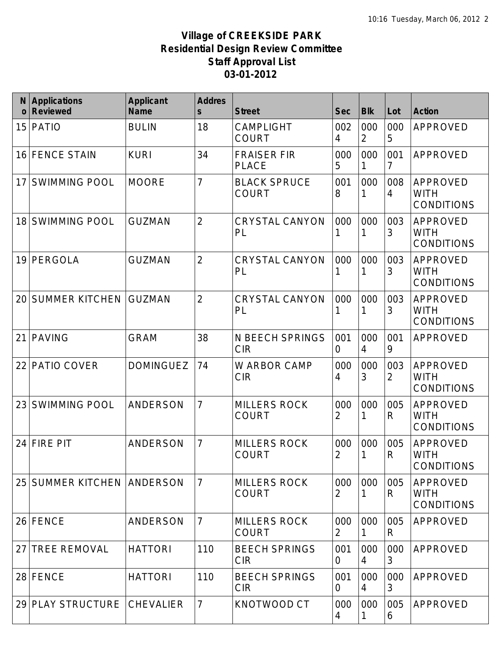| $\Omega$ | <b>Applications</b><br><b>Reviewed</b> | <b>Applicant</b><br><b>Name</b> | <b>Addres</b><br>$\mathsf{s}$ | <b>Street</b>                        | <b>Sec</b> | <b>Blk</b>            | Lot      | <b>Action</b>                                       |
|----------|----------------------------------------|---------------------------------|-------------------------------|--------------------------------------|------------|-----------------------|----------|-----------------------------------------------------|
| 15       | PATIO                                  | <b>BULIN</b>                    | 18                            | <b>CAMPLIGHT</b><br><b>COURT</b>     | 002<br>4   | 000<br>$\overline{2}$ | 000<br>5 | <b>APPROVED</b>                                     |
| 16       | <b>FENCE STAIN</b>                     | <b>KURI</b>                     | 34                            | <b>FRAISER FIR</b><br><b>PLACE</b>   | 000<br>5   | 000<br>1              | 001<br>7 | <b>APPROVED</b>                                     |
| 17       | <b>SWIMMING POOL</b>                   | <b>MOORE</b>                    | $\overline{7}$                | <b>BLACK SPRUCE</b><br><b>COURT</b>  | 001<br>8   | 000                   | 008<br>4 | <b>APPROVED</b><br><b>WITH</b><br><b>CONDITIONS</b> |
| 18       | <b>SWIMMING POOL</b>                   | <b>GUZMAN</b>                   | $\overline{2}$                | <b>CRYSTAL CANYON</b><br>PL          | 000<br>1   | 000                   | 003<br>3 | <b>APPROVED</b><br>WITH<br><b>CONDITIONS</b>        |
| 19       | PERGOLA                                | <b>GUZMAN</b>                   | $\overline{2}$                | <b>CRYSTAL CANYON</b><br>PL          | 000        | 000                   | 003<br>3 | <b>APPROVED</b><br><b>WITH</b><br><b>CONDITIONS</b> |
| 20       | <b>SUMMER KITCHEN</b>                  | <b>GUZMAN</b>                   | $\overline{2}$                | <b>CRYSTAL CANYON</b><br>PL          | 000<br>1   | 000                   | 003<br>3 | <b>APPROVED</b><br>WITH<br><b>CONDITIONS</b>        |
| 21       | <b>PAVING</b>                          | <b>GRAM</b>                     | 38                            | <b>N BEECH SPRINGS</b><br><b>CIR</b> | 001<br>0   | 000<br>$\overline{4}$ | 001<br>9 | <b>APPROVED</b>                                     |
| 22       | PATIO COVER                            | <b>DOMINGUEZ</b>                | 74                            | W ARBOR CAMP<br><b>CIR</b>           | 000<br>4   | 000<br>3              | 003<br>2 | <b>APPROVED</b><br><b>WITH</b><br><b>CONDITIONS</b> |
| 23       | <b>SWIMMING POOL</b>                   | ANDERSON                        | $\overline{7}$                | <b>MILLERS ROCK</b><br><b>COURT</b>  | 000<br>2   | 000                   | 005<br>R | APPROVED<br>WITH<br><b>CONDITIONS</b>               |
| 24       | <b>FIRE PIT</b>                        | <b>ANDERSON</b>                 | $\overline{7}$                | <b>MILLERS ROCK</b><br><b>COURT</b>  | 000<br>2   | 000                   | 005<br>R | <b>APPROVED</b><br>WITH<br><b>CONDITIONS</b>        |
| 25       | <b>SUMMER KITCHEN ANDERSON</b>         |                                 | $\overline{7}$                | <b>MILLERS ROCK</b><br><b>COURT</b>  | 000<br>2   | 000                   | 005<br>R | APPROVED<br><b>WITH</b><br><b>CONDITIONS</b>        |
|          | 26 FENCE                               | ANDERSON                        | $\overline{7}$                | <b>MILLERS ROCK</b><br><b>COURT</b>  | 000<br>2   | 000                   | 005<br>R | APPROVED                                            |
| 27       | <b>TREE REMOVAL</b>                    | <b>HATTORI</b>                  | 110                           | <b>BEECH SPRINGS</b><br><b>CIR</b>   | 001<br>0   | 000<br>4              | 000<br>3 | <b>APPROVED</b>                                     |
|          | 28 FENCE                               | <b>HATTORI</b>                  | 110                           | <b>BEECH SPRINGS</b><br><b>CIR</b>   | 001<br>0   | 000<br>4              | 000<br>3 | APPROVED                                            |
|          | 29 PLAY STRUCTURE                      | <b>CHEVALIER</b>                | 7                             | KNOTWOOD CT                          | 000<br>4   | 000                   | 005<br>6 | APPROVED                                            |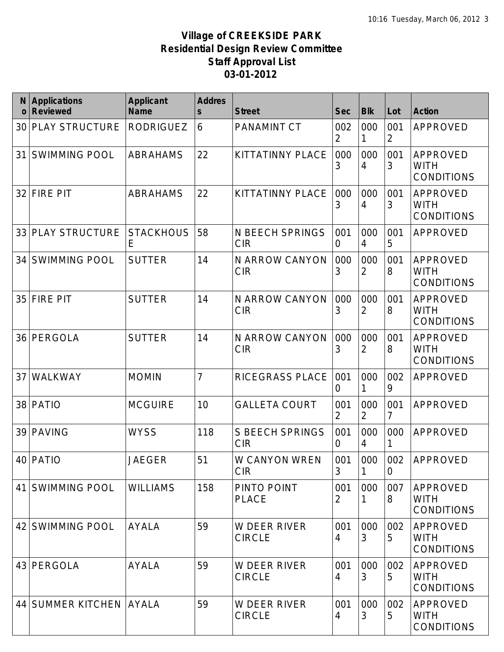| N<br>$\mathbf 0$ | <b>Applications</b><br><b>Reviewed</b> | <b>Applicant</b><br><b>Name</b> | <b>Addres</b><br>$\mathsf{s}$ | <b>Street</b>                        | <b>Sec</b> | <b>Blk</b>            | Lot                   | <b>Action</b>                                       |
|------------------|----------------------------------------|---------------------------------|-------------------------------|--------------------------------------|------------|-----------------------|-----------------------|-----------------------------------------------------|
| 30               | <b>PLAY STRUCTURE</b>                  | <b>RODRIGUEZ</b>                | 6                             | <b>PANAMINT CT</b>                   | 002<br>2   | 000                   | 001<br>$\overline{2}$ | <b>APPROVED</b>                                     |
| 31               | <b>SWIMMING POOL</b>                   | <b>ABRAHAMS</b>                 | 22                            | KITTATINNY PLACE                     | 000<br>3   | 000<br>4              | 001<br>3              | <b>APPROVED</b><br><b>WITH</b><br><b>CONDITIONS</b> |
| 32               | <b>FIRE PIT</b>                        | <b>ABRAHAMS</b>                 | 22                            | KITTATINNY PLACE                     | 000<br>3   | 000<br>4              | 001<br>3              | APPROVED<br><b>WITH</b><br><b>CONDITIONS</b>        |
| 33               | <b>PLAY STRUCTURE</b>                  | <b>STACKHOUS</b><br>E           | 58                            | <b>N BEECH SPRINGS</b><br><b>CIR</b> | 001<br>0   | 000<br>4              | 001<br>5              | APPROVED                                            |
| 34               | <b>SWIMMING POOL</b>                   | <b>SUTTER</b>                   | 14                            | N ARROW CANYON<br><b>CIR</b>         | 000<br>3   | 000<br>2              | 001<br>8              | <b>APPROVED</b><br>WITH<br><b>CONDITIONS</b>        |
| 35               | <b>FIRE PIT</b>                        | <b>SUTTER</b>                   | 14                            | N ARROW CANYON<br><b>CIR</b>         | 000<br>3   | 000<br>$\overline{2}$ | 001<br>8              | <b>APPROVED</b><br>WITH<br><b>CONDITIONS</b>        |
| 36               | PERGOLA                                | <b>SUTTER</b>                   | 14                            | N ARROW CANYON<br><b>CIR</b>         | 000<br>3   | 000<br>2              | 001<br>8              | APPROVED<br>WITH<br><b>CONDITIONS</b>               |
| 37               | WALKWAY                                | <b>MOMIN</b>                    | $\overline{7}$                | RICEGRASS PLACE                      | 001<br>0   | 000                   | 002<br>9              | APPROVED                                            |
| 38               | <b>PATIO</b>                           | <b>MCGUIRE</b>                  | 10                            | <b>GALLETA COURT</b>                 | 001<br>2   | 000<br>2              | 001<br>7              | <b>APPROVED</b>                                     |
| 39               | <b>PAVING</b>                          | <b>WYSS</b>                     | 118                           | <b>S BEECH SPRINGS</b><br><b>CIR</b> | 001<br>0   | 000<br>4              | 000                   | APPROVED                                            |
|                  | 40 PATIO                               | JAEGER                          | 51                            | W CANYON WREN<br><b>CIR</b>          | 001<br>3   | 000                   | 002<br>0              | APPROVED                                            |
| 41               | <b>SWIMMING POOL</b>                   | <b>WILLIAMS</b>                 | 158                           | PINTO POINT<br><b>PLACE</b>          | 001<br>2   | 000                   | 007<br>8              | APPROVED<br><b>WITH</b><br><b>CONDITIONS</b>        |
| 42               | <b>SWIMMING POOL</b>                   | <b>AYALA</b>                    | 59                            | W DEER RIVER<br><b>CIRCLE</b>        | 001<br>4   | 000<br>3              | 002<br>5              | <b>APPROVED</b><br><b>WITH</b><br><b>CONDITIONS</b> |
| 43               | PERGOLA                                | <b>AYALA</b>                    | 59                            | W DEER RIVER<br><b>CIRCLE</b>        | 001<br>4   | 000<br>3              | 002<br>5              | <b>APPROVED</b><br><b>WITH</b><br><b>CONDITIONS</b> |
| 44               | <b>SUMMER KITCHEN AYALA</b>            |                                 | 59                            | W DEER RIVER<br><b>CIRCLE</b>        | 001<br>4   | 000<br>3              | 002<br>5              | APPROVED<br><b>WITH</b><br><b>CONDITIONS</b>        |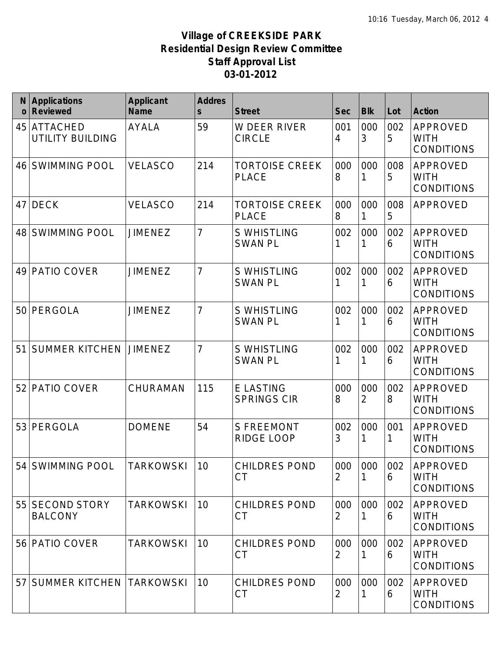| N<br>$\Omega$ | <b>Applications</b><br><b>Reviewed</b> | <b>Applicant</b><br><b>Name</b> | <b>Addres</b><br>$\mathsf{s}$ | <b>Street</b>                          | <b>Sec</b> | <b>Blk</b>            | Lot      | <b>Action</b>                                       |
|---------------|----------------------------------------|---------------------------------|-------------------------------|----------------------------------------|------------|-----------------------|----------|-----------------------------------------------------|
| 45            | <b>ATTACHED</b><br>UTILITY BUILDING    | <b>AYALA</b>                    | 59                            | <b>W DEER RIVER</b><br><b>CIRCLE</b>   | 001<br>4   | 000<br>3              | 002<br>5 | <b>APPROVED</b><br><b>WITH</b><br><b>CONDITIONS</b> |
| 46            | <b>SWIMMING POOL</b>                   | <b>VELASCO</b>                  | 214                           | <b>TORTOISE CREEK</b><br><b>PLACE</b>  | 000<br>8   | 000<br>1              | 008<br>5 | <b>APPROVED</b><br><b>WITH</b><br><b>CONDITIONS</b> |
| 47            | <b>DECK</b>                            | <b>VELASCO</b>                  | 214                           | <b>TORTOISE CREEK</b><br><b>PLACE</b>  | 000<br>8   | 000                   | 008<br>5 | <b>APPROVED</b>                                     |
| 48            | <b>SWIMMING POOL</b>                   | <b>JIMENEZ</b>                  | $\overline{7}$                | <b>S WHISTLING</b><br><b>SWAN PL</b>   | 002        | 000                   | 002<br>6 | <b>APPROVED</b><br><b>WITH</b><br><b>CONDITIONS</b> |
| 49            | PATIO COVER                            | <b>JIMENEZ</b>                  | $\overline{7}$                | <b>S WHISTLING</b><br><b>SWAN PL</b>   | 002        | 000                   | 002<br>6 | <b>APPROVED</b><br><b>WITH</b><br><b>CONDITIONS</b> |
| 50            | PERGOLA                                | <b>JIMENEZ</b>                  | $\overline{7}$                | <b>S WHISTLING</b><br><b>SWAN PL</b>   | 002        | 000                   | 002<br>6 | <b>APPROVED</b><br>WITH<br><b>CONDITIONS</b>        |
| 51            | <b>SUMMER KITCHEN</b>                  | <b>JIMENEZ</b>                  | $\overline{7}$                | <b>S WHISTLING</b><br><b>SWAN PL</b>   | 002        | 000                   | 002<br>6 | <b>APPROVED</b><br><b>WITH</b><br><b>CONDITIONS</b> |
| 52            | PATIO COVER                            | CHURAMAN                        | 115                           | <b>E LASTING</b><br><b>SPRINGS CIR</b> | 000<br>8   | 000<br>$\overline{2}$ | 002<br>8 | APPROVED<br><b>WITH</b><br><b>CONDITIONS</b>        |
| 53            | PERGOLA                                | <b>DOMENE</b>                   | 54                            | <b>S FREEMONT</b><br>RIDGE LOOP        | 002<br>3   | 000                   | 001      | <b>APPROVED</b><br><b>WITH</b><br><b>CONDITIONS</b> |
|               | 54 SWIMMING POOL                       | TARKOWSKI                       | 10                            | <b>CHILDRES POND</b><br><b>CT</b>      | 000<br>2   | 000                   | 002<br>6 | APPROVED<br><b>WITH</b><br><b>CONDITIONS</b>        |
|               | 55 SECOND STORY<br><b>BALCONY</b>      | <b>TARKOWSKI</b>                | 10                            | <b>CHILDRES POND</b><br><b>CT</b>      | 000<br>2   | 000                   | 002<br>6 | <b>APPROVED</b><br><b>WITH</b><br><b>CONDITIONS</b> |
| 56            | <b>PATIO COVER</b>                     | <b>TARKOWSKI</b>                | 10                            | <b>CHILDRES POND</b><br><b>CT</b>      | 000<br>2   | 000                   | 002<br>6 | APPROVED<br><b>WITH</b><br><b>CONDITIONS</b>        |
| 57            | <b>SUMMER KITCHEN</b>                  | <b>TARKOWSKI</b>                | 10                            | <b>CHILDRES POND</b><br><b>CT</b>      | 000<br>2   | 000                   | 002<br>6 | APPROVED<br><b>WITH</b><br><b>CONDITIONS</b>        |